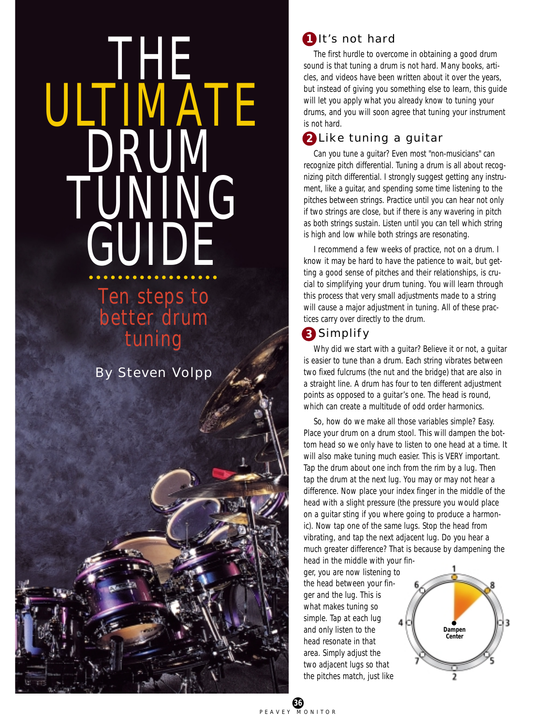# THE ULI <u>iivia</u>te DRUM NG GUIDE

# **Ten steps to** better drum tuning

By Steven Volpp

# **1** It's not hard

The first hurdle to overcome in obtaining a good drum sound is that tuning a drum is not hard. Many books, articles, and videos have been written about it over the years, but instead of giving you something else to learn, this guide will let you apply what you already know to tuning your drums, and you will soon agree that tuning your instrument is not hard.

# Like tuning a guitar **2**

Can you tune a guitar? Even most "non-musicians" can recognize pitch differential. Tuning a drum is all about recognizing pitch differential. I strongly suggest getting any instrument, like a guitar, and spending some time listening to the pitches between strings. Practice until you can hear not only if two strings are close, but if there is any wavering in pitch as both strings sustain. Listen until you can tell which string is high and low while both strings are resonating.

I recommend a few weeks of practice, not on a drum. I know it may be hard to have the patience to wait, but getting a good sense of pitches and their relationships, is crucial to simplifying your drum tuning. You will learn through this process that very small adjustments made to a string will cause a major adjustment in tuning. All of these practices carry over directly to the drum.

# Simplify **3**

Why did we start with a guitar? Believe it or not, a guitar is easier to tune than a drum. Each string vibrates between two fixed fulcrums (the nut and the bridge) that are also in a straight line. A drum has four to ten different adjustment points as opposed to a guitar's one. The head is round, which can create a multitude of odd order harmonics.

So, how do we make all those variables simple? Easy. Place your drum on a drum stool. This will dampen the bottom head so we only have to listen to one head at a time. It will also make tuning much easier. This is VERY important. Tap the drum about one inch from the rim by a lug. Then tap the drum at the next lug. You may or may not hear a difference. Now place your index finger in the middle of the head with a slight pressure (the pressure you would place on a guitar sting if you where going to produce a harmonic). Now tap one of the same lugs. Stop the head from vibrating, and tap the next adjacent lug. Do you hear a much greater difference? That is because by dampening the

head in the middle with your finger, you are now listening to the head between your finger and the lug. This is what makes tuning so simple. Tap at each lug and only listen to the head resonate in that area. Simply adjust the two adjacent lugs so that the pitches match, just like